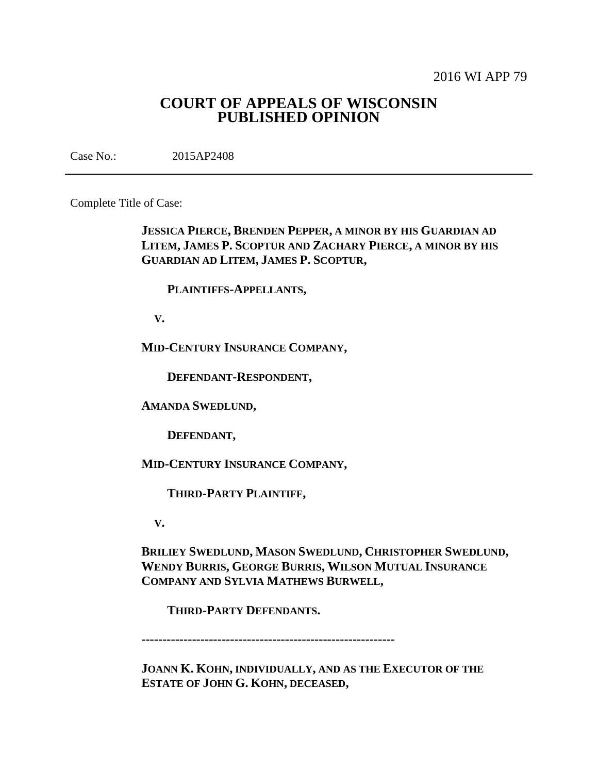2016 WI APP 79

# **COURT OF APPEALS OF WISCONSIN PUBLISHED OPINION**

Case No.: 2015AP2408

Complete Title of Case:

**JESSICA PIERCE, BRENDEN PEPPER, A MINOR BY HIS GUARDIAN AD LITEM, JAMES P. SCOPTUR AND ZACHARY PIERCE, A MINOR BY HIS GUARDIAN AD LITEM, JAMES P. SCOPTUR,**

 **PLAINTIFFS-APPELLANTS,**

 **V.**

**MID-CENTURY INSURANCE COMPANY,**

 **DEFENDANT-RESPONDENT,**

**AMANDA SWEDLUND,**

 **DEFENDANT,**

**MID-CENTURY INSURANCE COMPANY,**

 **THIRD-PARTY PLAINTIFF,**

 **V.**

**BRILIEY SWEDLUND, MASON SWEDLUND, CHRISTOPHER SWEDLUND, WENDY BURRIS, GEORGE BURRIS, WILSON MUTUAL INSURANCE COMPANY AND SYLVIA MATHEWS BURWELL,**

 **THIRD-PARTY DEFENDANTS.**

**------------------------------------------------------------**

**JOANN K. KOHN, INDIVIDUALLY, AND AS THE EXECUTOR OF THE ESTATE OF JOHN G. KOHN, DECEASED,**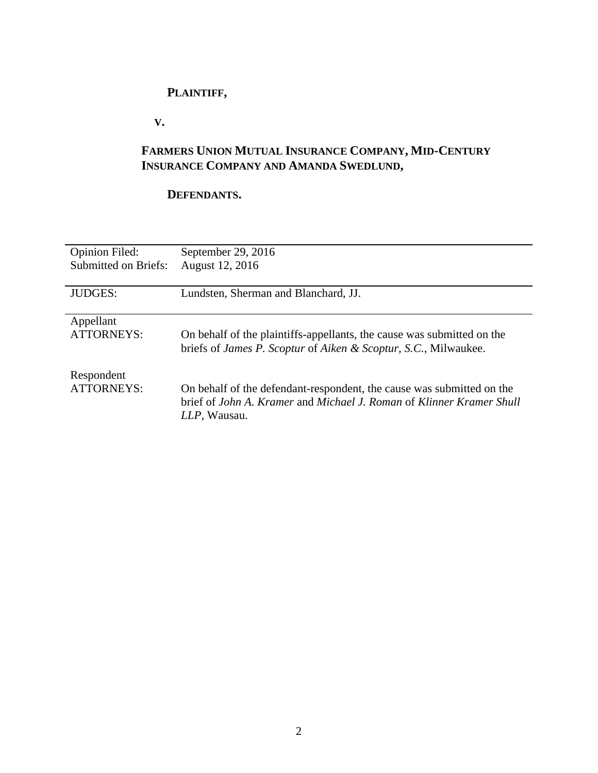# **PLAINTIFF,**

 **V.**

# **FARMERS UNION MUTUAL INSURANCE COMPANY, MID-CENTURY INSURANCE COMPANY AND AMANDA SWEDLUND,**

# **DEFENDANTS.**

| <b>Opinion Filed:</b>       | September 29, 2016                                                                                                                                            |
|-----------------------------|---------------------------------------------------------------------------------------------------------------------------------------------------------------|
| <b>Submitted on Briefs:</b> | August 12, 2016                                                                                                                                               |
| <b>JUDGES:</b>              | Lundsten, Sherman and Blanchard, JJ.                                                                                                                          |
| Appellant                   | On behalf of the plaintiffs-appellants, the cause was submitted on the                                                                                        |
| ATTORNEYS:                  | briefs of <i>James P. Scoptur</i> of <i>Aiken &amp; Scoptur</i> , <i>S.C.</i> , Milwaukee.                                                                    |
| Respondent<br>ATTORNEYS:    | On behalf of the defendant-respondent, the cause was submitted on the<br>brief of John A. Kramer and Michael J. Roman of Klinner Kramer Shull<br>LLP, Wausau. |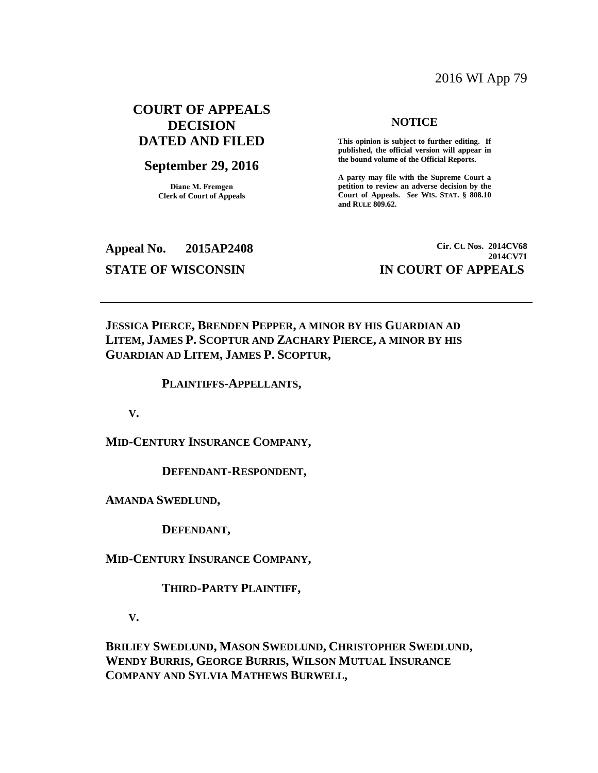## 2016 WI App 79

## **COURT OF APPEALS DECISION DATED AND FILED**

### **September 29, 2016**

**Diane M. Fremgen Clerk of Court of Appeals**

#### **NOTICE**

**This opinion is subject to further editing. If published, the official version will appear in the bound volume of the Official Reports.** 

**A party may file with the Supreme Court a petition to review an adverse decision by the Court of Appeals.** *See* **WIS. STAT. § 808.10 and RULE 809.62.** 

**Appeal No. 2015AP2408 Cir. Ct. Nos. 2014CV68 2014CV71 STATE OF WISCONSIN IN COURT OF APPEALS**

**JESSICA PIERCE, BRENDEN PEPPER, A MINOR BY HIS GUARDIAN AD LITEM, JAMES P. SCOPTUR AND ZACHARY PIERCE, A MINOR BY HIS GUARDIAN AD LITEM, JAMES P. SCOPTUR,**

#### **PLAINTIFFS-APPELLANTS,**

 **V.**

**MID-CENTURY INSURANCE COMPANY,**

 **DEFENDANT-RESPONDENT,**

**AMANDA SWEDLUND,**

 **DEFENDANT,**

**MID-CENTURY INSURANCE COMPANY,**

 **THIRD-PARTY PLAINTIFF,**

 **V.**

**BRILIEY SWEDLUND, MASON SWEDLUND, CHRISTOPHER SWEDLUND, WENDY BURRIS, GEORGE BURRIS, WILSON MUTUAL INSURANCE COMPANY AND SYLVIA MATHEWS BURWELL,**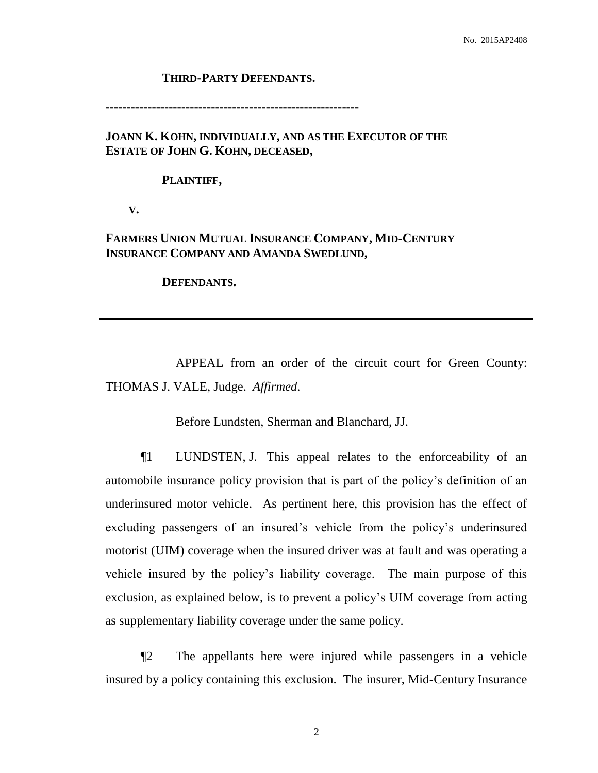#### **THIRD-PARTY DEFENDANTS.**

**------------------------------------------------------------**

## **JOANN K. KOHN, INDIVIDUALLY, AND AS THE EXECUTOR OF THE ESTATE OF JOHN G. KOHN, DECEASED,**

#### **PLAINTIFF,**

 **V.**

## **FARMERS UNION MUTUAL INSURANCE COMPANY, MID-CENTURY INSURANCE COMPANY AND AMANDA SWEDLUND,**

 **DEFENDANTS.**

APPEAL from an order of the circuit court for Green County: THOMAS J. VALE, Judge. *Affirmed*.

Before Lundsten, Sherman and Blanchard, JJ.

¶1 LUNDSTEN, J. This appeal relates to the enforceability of an automobile insurance policy provision that is part of the policy's definition of an underinsured motor vehicle. As pertinent here, this provision has the effect of excluding passengers of an insured's vehicle from the policy's underinsured motorist (UIM) coverage when the insured driver was at fault and was operating a vehicle insured by the policy's liability coverage. The main purpose of this exclusion, as explained below, is to prevent a policy's UIM coverage from acting as supplementary liability coverage under the same policy.

¶2 The appellants here were injured while passengers in a vehicle insured by a policy containing this exclusion. The insurer, Mid-Century Insurance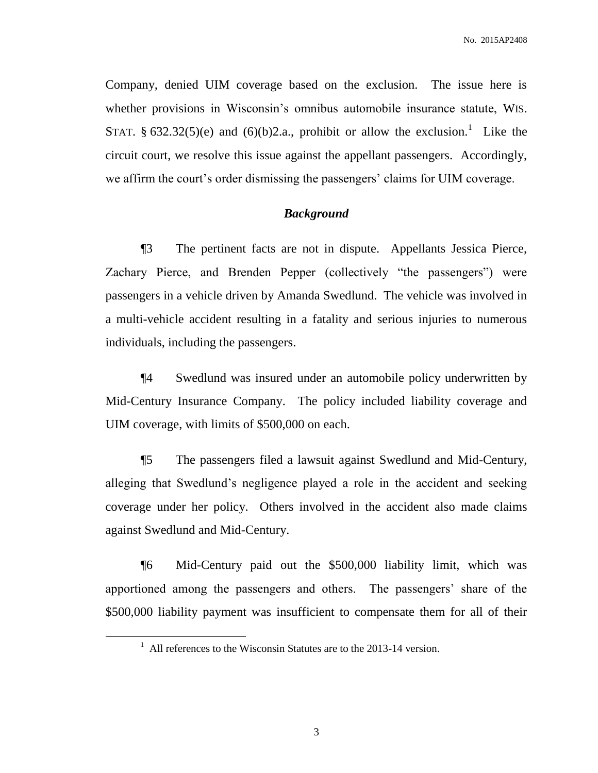Company, denied UIM coverage based on the exclusion. The issue here is whether provisions in Wisconsin's omnibus automobile insurance statute, WIS. STAT. § 632.32(5)(e) and (6)(b)2.a., prohibit or allow the exclusion.<sup>1</sup> Like the circuit court, we resolve this issue against the appellant passengers. Accordingly, we affirm the court's order dismissing the passengers' claims for UIM coverage.

#### *Background*

¶3 The pertinent facts are not in dispute. Appellants Jessica Pierce, Zachary Pierce, and Brenden Pepper (collectively "the passengers") were passengers in a vehicle driven by Amanda Swedlund. The vehicle was involved in a multi-vehicle accident resulting in a fatality and serious injuries to numerous individuals, including the passengers.

¶4 Swedlund was insured under an automobile policy underwritten by Mid-Century Insurance Company. The policy included liability coverage and UIM coverage, with limits of \$500,000 on each.

¶5 The passengers filed a lawsuit against Swedlund and Mid-Century, alleging that Swedlund's negligence played a role in the accident and seeking coverage under her policy. Others involved in the accident also made claims against Swedlund and Mid-Century.

¶6 Mid-Century paid out the \$500,000 liability limit, which was apportioned among the passengers and others. The passengers' share of the \$500,000 liability payment was insufficient to compensate them for all of their

 $\overline{a}$ 

<sup>&</sup>lt;sup>1</sup> All references to the Wisconsin Statutes are to the 2013-14 version.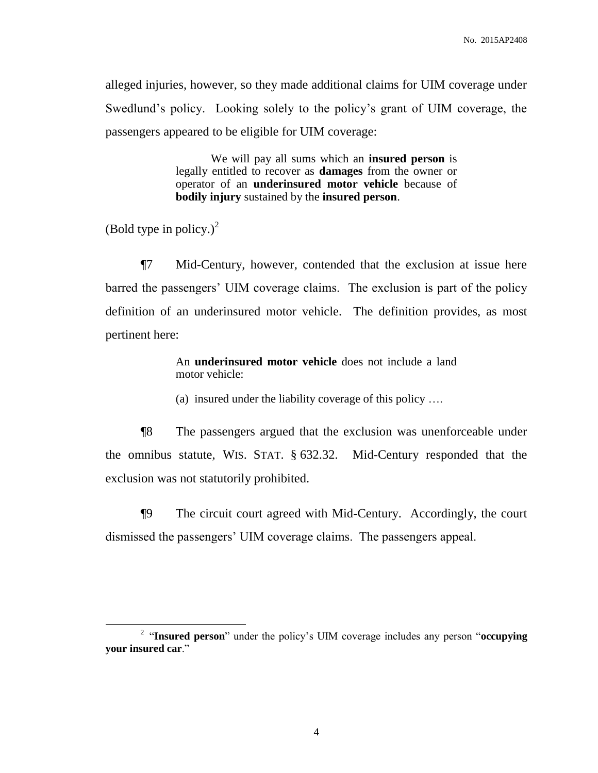alleged injuries, however, so they made additional claims for UIM coverage under Swedlund's policy. Looking solely to the policy's grant of UIM coverage, the passengers appeared to be eligible for UIM coverage:

> We will pay all sums which an **insured person** is legally entitled to recover as **damages** from the owner or operator of an **underinsured motor vehicle** because of **bodily injury** sustained by the **insured person**.

(Bold type in policy.) $^{2}$ 

 $\overline{a}$ 

¶7 Mid-Century, however, contended that the exclusion at issue here barred the passengers' UIM coverage claims. The exclusion is part of the policy definition of an underinsured motor vehicle. The definition provides, as most pertinent here:

> An **underinsured motor vehicle** does not include a land motor vehicle:

(a) insured under the liability coverage of this policy ….

¶8 The passengers argued that the exclusion was unenforceable under the omnibus statute, WIS. STAT. § 632.32. Mid-Century responded that the exclusion was not statutorily prohibited.

¶9 The circuit court agreed with Mid-Century. Accordingly, the court dismissed the passengers' UIM coverage claims. The passengers appeal.

<sup>2</sup> "**Insured person**" under the policy's UIM coverage includes any person "**occupying your insured car**."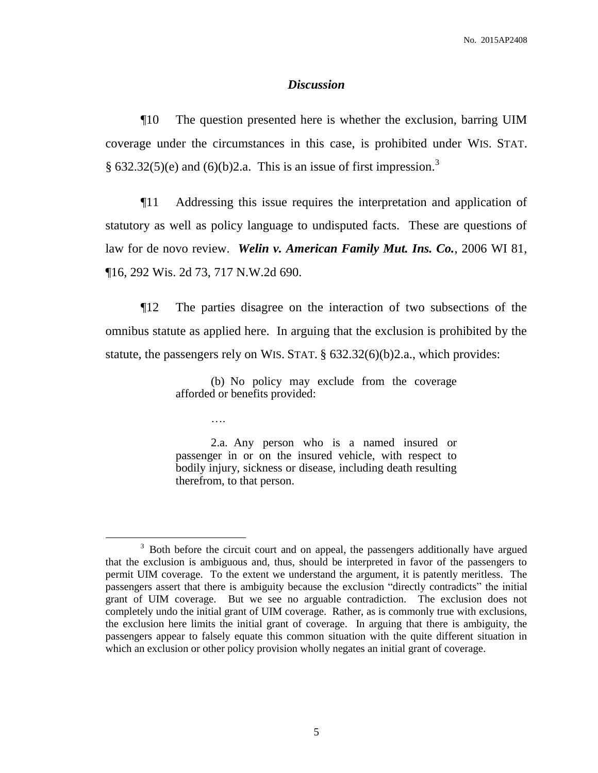### *Discussion*

¶10 The question presented here is whether the exclusion, barring UIM coverage under the circumstances in this case, is prohibited under WIS. STAT. § 632.32(5)(e) and (6)(b)2.a. This is an issue of first impression.<sup>3</sup>

¶11 Addressing this issue requires the interpretation and application of statutory as well as policy language to undisputed facts. These are questions of law for de novo review. *Welin v. American Family Mut. Ins. Co.*, 2006 WI 81, ¶16, 292 Wis. 2d 73, 717 N.W.2d 690.

¶12 The parties disagree on the interaction of two subsections of the omnibus statute as applied here. In arguing that the exclusion is prohibited by the statute, the passengers rely on WIS. STAT. § 632.32(6)(b)2.a., which provides:

> (b) No policy may exclude from the coverage afforded or benefits provided:

> > ….

 $\overline{a}$ 

2.a. Any person who is a named insured or passenger in or on the insured vehicle, with respect to bodily injury, sickness or disease, including death resulting therefrom, to that person.

 $3$  Both before the circuit court and on appeal, the passengers additionally have argued that the exclusion is ambiguous and, thus, should be interpreted in favor of the passengers to permit UIM coverage. To the extent we understand the argument, it is patently meritless. The passengers assert that there is ambiguity because the exclusion "directly contradicts" the initial grant of UIM coverage. But we see no arguable contradiction. The exclusion does not completely undo the initial grant of UIM coverage. Rather, as is commonly true with exclusions, the exclusion here limits the initial grant of coverage. In arguing that there is ambiguity, the passengers appear to falsely equate this common situation with the quite different situation in which an exclusion or other policy provision wholly negates an initial grant of coverage.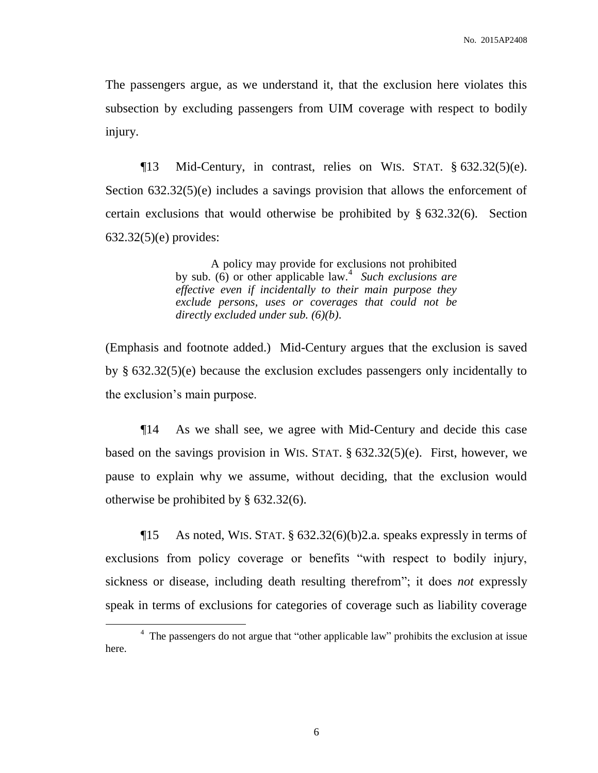The passengers argue, as we understand it, that the exclusion here violates this subsection by excluding passengers from UIM coverage with respect to bodily injury.

 $\P$ 13 Mid-Century, in contrast, relies on WIS. STAT. § 632.32(5)(e). Section  $632.32(5)(e)$  includes a savings provision that allows the enforcement of certain exclusions that would otherwise be prohibited by § 632.32(6). Section 632.32(5)(e) provides:

> A policy may provide for exclusions not prohibited by sub. (6) or other applicable law.<sup>4</sup> Such exclusions are *effective even if incidentally to their main purpose they exclude persons, uses or coverages that could not be directly excluded under sub. (6)(b)*.

(Emphasis and footnote added.) Mid-Century argues that the exclusion is saved by § 632.32(5)(e) because the exclusion excludes passengers only incidentally to the exclusion's main purpose.

¶14 As we shall see, we agree with Mid-Century and decide this case based on the savings provision in WIS. STAT. § 632.32(5)(e). First, however, we pause to explain why we assume, without deciding, that the exclusion would otherwise be prohibited by § 632.32(6).

 $\P$ 15 As noted, WIS. STAT. § 632.32(6)(b)2.a. speaks expressly in terms of exclusions from policy coverage or benefits "with respect to bodily injury, sickness or disease, including death resulting therefrom"; it does *not* expressly speak in terms of exclusions for categories of coverage such as liability coverage

 $\overline{a}$ 

<sup>&</sup>lt;sup>4</sup> The passengers do not argue that "other applicable law" prohibits the exclusion at issue here.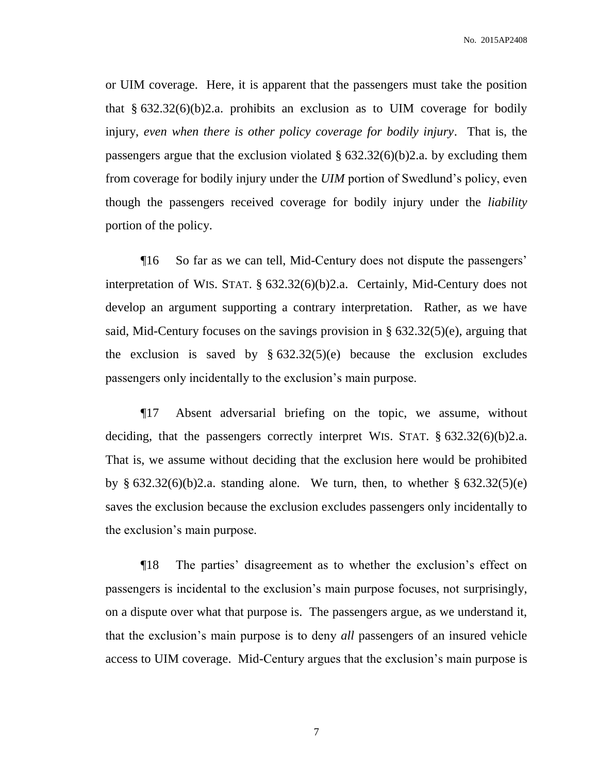or UIM coverage. Here, it is apparent that the passengers must take the position that  $§ 632.32(6)(b)2.a.$  prohibits an exclusion as to UIM coverage for bodily injury, *even when there is other policy coverage for bodily injury*. That is, the passengers argue that the exclusion violated  $\S$  632.32(6)(b)2.a. by excluding them from coverage for bodily injury under the *UIM* portion of Swedlund's policy, even though the passengers received coverage for bodily injury under the *liability* portion of the policy.

¶16 So far as we can tell, Mid-Century does not dispute the passengers' interpretation of WIS. STAT. § 632.32(6)(b)2.a. Certainly, Mid-Century does not develop an argument supporting a contrary interpretation. Rather, as we have said, Mid-Century focuses on the savings provision in § 632.32(5)(e), arguing that the exclusion is saved by  $§$  632.32(5)(e) because the exclusion excludes passengers only incidentally to the exclusion's main purpose.

¶17 Absent adversarial briefing on the topic, we assume, without deciding, that the passengers correctly interpret WIS. STAT. § 632.32(6)(b)2.a. That is, we assume without deciding that the exclusion here would be prohibited by  $\S$  632.32(6)(b)2.a. standing alone. We turn, then, to whether  $\S$  632.32(5)(e) saves the exclusion because the exclusion excludes passengers only incidentally to the exclusion's main purpose.

¶18 The parties' disagreement as to whether the exclusion's effect on passengers is incidental to the exclusion's main purpose focuses, not surprisingly, on a dispute over what that purpose is. The passengers argue, as we understand it, that the exclusion's main purpose is to deny *all* passengers of an insured vehicle access to UIM coverage. Mid-Century argues that the exclusion's main purpose is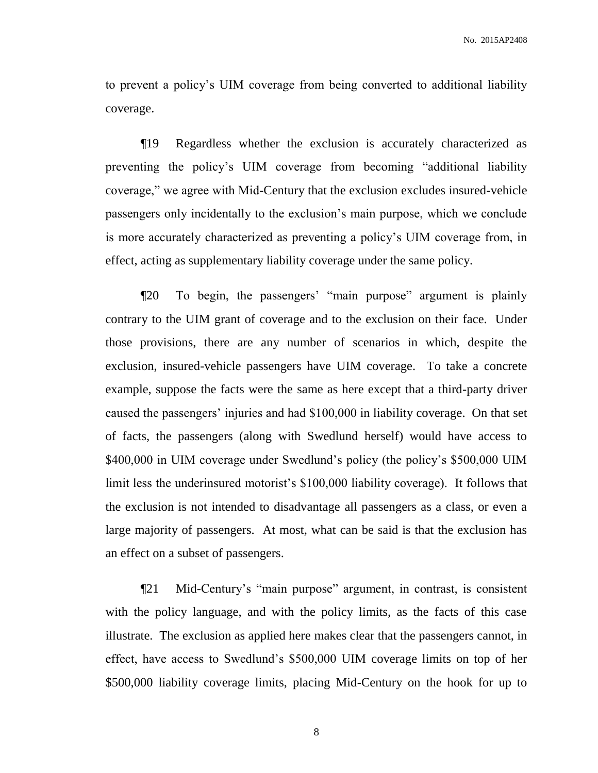to prevent a policy's UIM coverage from being converted to additional liability coverage.

¶19 Regardless whether the exclusion is accurately characterized as preventing the policy's UIM coverage from becoming "additional liability coverage," we agree with Mid-Century that the exclusion excludes insured-vehicle passengers only incidentally to the exclusion's main purpose, which we conclude is more accurately characterized as preventing a policy's UIM coverage from, in effect, acting as supplementary liability coverage under the same policy.

¶20 To begin, the passengers' "main purpose" argument is plainly contrary to the UIM grant of coverage and to the exclusion on their face. Under those provisions, there are any number of scenarios in which, despite the exclusion, insured-vehicle passengers have UIM coverage. To take a concrete example, suppose the facts were the same as here except that a third-party driver caused the passengers' injuries and had \$100,000 in liability coverage. On that set of facts, the passengers (along with Swedlund herself) would have access to \$400,000 in UIM coverage under Swedlund's policy (the policy's \$500,000 UIM limit less the underinsured motorist's \$100,000 liability coverage). It follows that the exclusion is not intended to disadvantage all passengers as a class, or even a large majority of passengers. At most, what can be said is that the exclusion has an effect on a subset of passengers.

¶21 Mid-Century's "main purpose" argument, in contrast, is consistent with the policy language, and with the policy limits, as the facts of this case illustrate. The exclusion as applied here makes clear that the passengers cannot, in effect, have access to Swedlund's \$500,000 UIM coverage limits on top of her \$500,000 liability coverage limits, placing Mid-Century on the hook for up to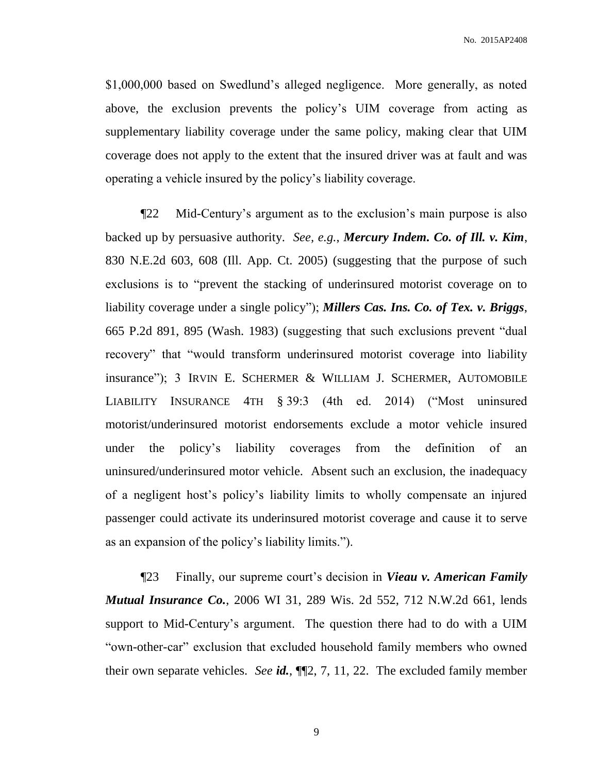\$1,000,000 based on Swedlund's alleged negligence. More generally, as noted above, the exclusion prevents the policy's UIM coverage from acting as supplementary liability coverage under the same policy, making clear that UIM coverage does not apply to the extent that the insured driver was at fault and was operating a vehicle insured by the policy's liability coverage.

¶22 Mid-Century's argument as to the exclusion's main purpose is also backed up by persuasive authority. *See, e.g.*, *Mercury Indem. Co. of Ill. v. Kim*, 830 N.E.2d 603, 608 (Ill. App. Ct. 2005) (suggesting that the purpose of such exclusions is to "prevent the stacking of underinsured motorist coverage on to liability coverage under a single policy"); *Millers Cas. Ins. Co. of Tex. v. Briggs*, 665 P.2d 891, 895 (Wash. 1983) (suggesting that such exclusions prevent "dual recovery" that "would transform underinsured motorist coverage into liability insurance"); 3 IRVIN E. SCHERMER & WILLIAM J. SCHERMER, AUTOMOBILE LIABILITY INSURANCE 4TH § 39:3 (4th ed. 2014) ("Most uninsured motorist/underinsured motorist endorsements exclude a motor vehicle insured under the policy's liability coverages from the definition of an uninsured/underinsured motor vehicle. Absent such an exclusion, the inadequacy of a negligent host's policy's liability limits to wholly compensate an injured passenger could activate its underinsured motorist coverage and cause it to serve as an expansion of the policy's liability limits.").

¶23 Finally, our supreme court's decision in *Vieau v. American Family Mutual Insurance Co.*, 2006 WI 31, 289 Wis. 2d 552, 712 N.W.2d 661, lends support to Mid-Century's argument. The question there had to do with a UIM "own-other-car" exclusion that excluded household family members who owned their own separate vehicles. *See id.*, ¶¶2, 7, 11, 22. The excluded family member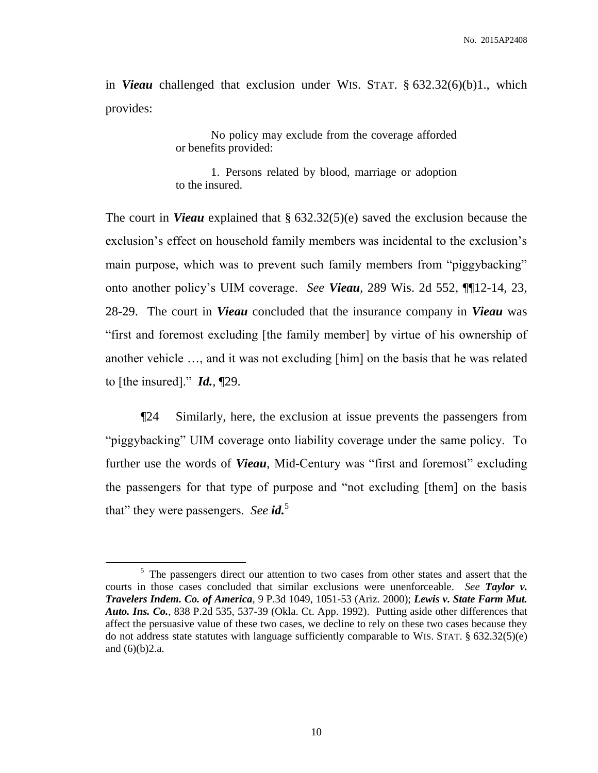No. 2015AP2408

in *Vieau* challenged that exclusion under WIS. STAT. § 632.32(6)(b)1., which provides:

> No policy may exclude from the coverage afforded or benefits provided:

> 1. Persons related by blood, marriage or adoption to the insured.

The court in *Vieau* explained that § 632.32(5)(e) saved the exclusion because the exclusion's effect on household family members was incidental to the exclusion's main purpose, which was to prevent such family members from "piggybacking" onto another policy's UIM coverage. *See Vieau*, 289 Wis. 2d 552, ¶¶12-14, 23, 28-29. The court in *Vieau* concluded that the insurance company in *Vieau* was "first and foremost excluding [the family member] by virtue of his ownership of another vehicle …, and it was not excluding [him] on the basis that he was related to [the insured]." *Id.*, ¶29.

¶24 Similarly, here, the exclusion at issue prevents the passengers from "piggybacking" UIM coverage onto liability coverage under the same policy. To further use the words of *Vieau*, Mid-Century was "first and foremost" excluding the passengers for that type of purpose and "not excluding [them] on the basis that" they were passengers. *See id.*<sup>5</sup>

 $\overline{a}$ 

<sup>&</sup>lt;sup>5</sup> The passengers direct our attention to two cases from other states and assert that the courts in those cases concluded that similar exclusions were unenforceable. *See Taylor v. Travelers Indem. Co. of America*, 9 P.3d 1049, 1051-53 (Ariz. 2000); *Lewis v. State Farm Mut. Auto. Ins. Co.*, 838 P.2d 535, 537-39 (Okla. Ct. App. 1992). Putting aside other differences that affect the persuasive value of these two cases, we decline to rely on these two cases because they do not address state statutes with language sufficiently comparable to WIS. STAT. § 632.32(5)(e) and (6)(b)2.a.